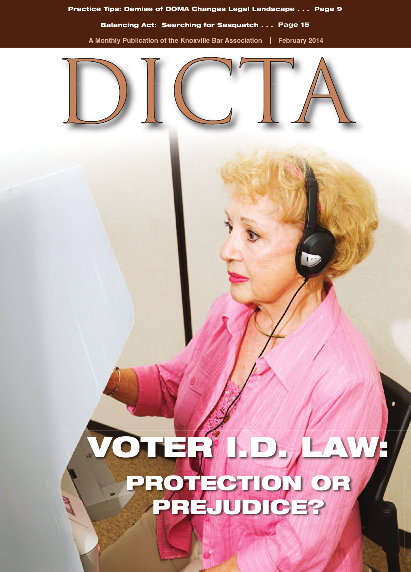

## **VOTER I.D. LAW: PROTECTION OR PREJUDICE?**